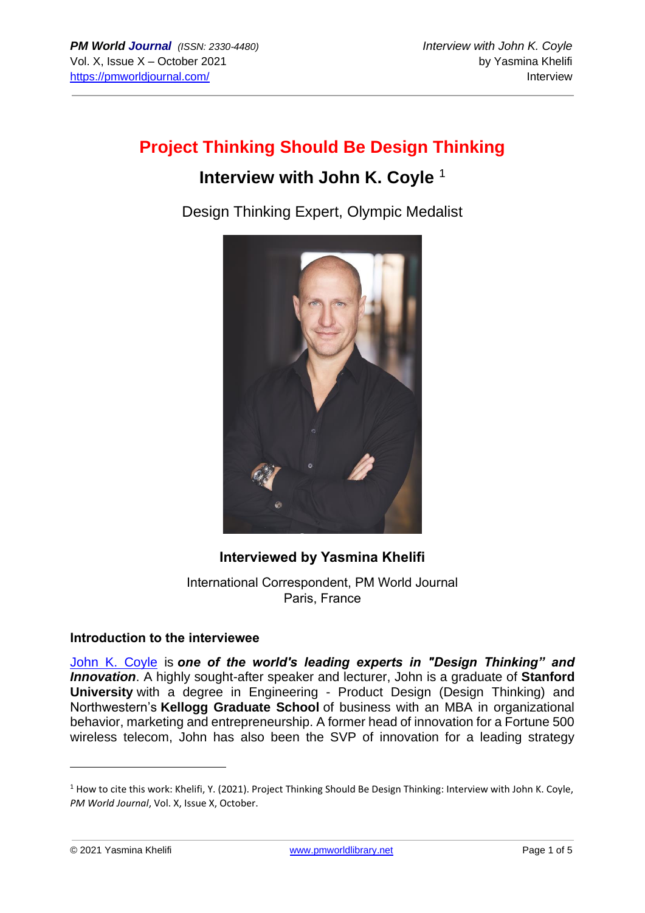# **Project Thinking Should Be Design Thinking**

# **Interview with John K. Coyle** <sup>1</sup>

Design Thinking Expert, Olympic Medalist



## **Interviewed by Yasmina Khelifi**

International Correspondent, PM World Journal Paris, France

#### **Introduction to the interviewee**

[John K. Coyle](https://www.linkedin.com/in/johnkcoyle1/) is *one of the world's leading experts in "Design Thinking" and Innovation*. A highly sought-after speaker and lecturer, John is a graduate of **Stanford University** with a degree in Engineering - Product Design (Design Thinking) and Northwestern's **Kellogg Graduate School** of business with an MBA in organizational behavior, marketing and entrepreneurship. A former head of innovation for a Fortune 500 wireless telecom, John has also been the SVP of innovation for a leading strategy

<sup>&</sup>lt;sup>1</sup> How to cite this work: Khelifi, Y. (2021). Project Thinking Should Be Design Thinking: Interview with John K. Coyle, *PM World Journal*, Vol. X, Issue X, October.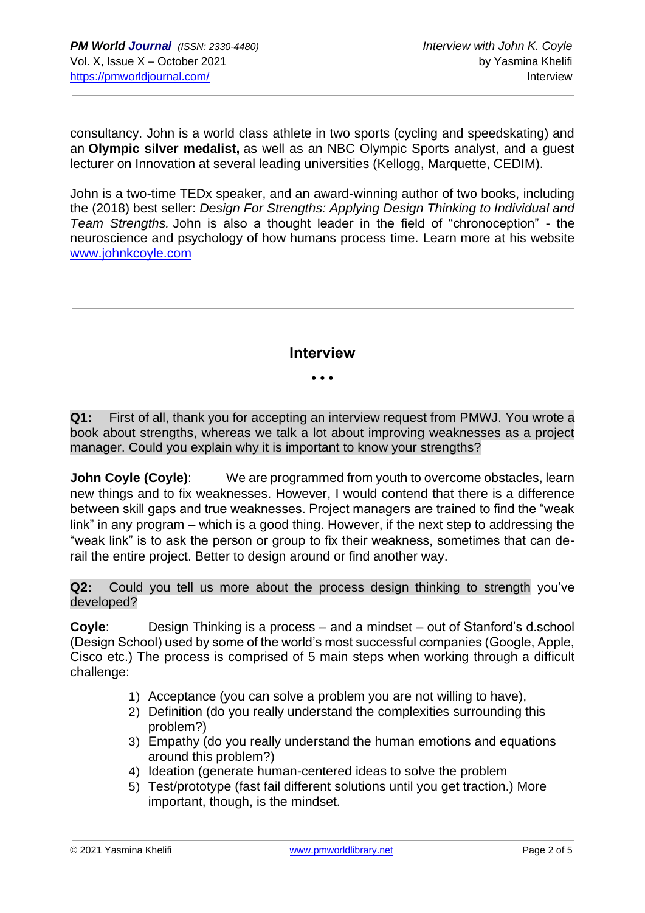consultancy. John is a world class athlete in two sports (cycling and speedskating) and an **Olympic silver medalist,** as well as an NBC Olympic Sports analyst, and a guest lecturer on Innovation at several leading universities (Kellogg, Marquette, CEDIM).

John is a two-time TEDx speaker, and an award-winning author of two books, including the (2018) best seller: *Design For Strengths: Applying Design Thinking to Individual and Team Strengths.* John is also a thought leader in the field of "chronoception" - the neuroscience and psychology of how humans process time. Learn more at his website [www.johnkcoyle.com](http://www.johnkcoyle.com/)

**Interview**

• • •

**Q1:** First of all, thank you for accepting an interview request from PMWJ. You wrote a book about strengths, whereas we talk a lot about improving weaknesses as a project manager. Could you explain why it is important to know your strengths?

**John Coyle (Coyle):** We are programmed from youth to overcome obstacles, learn new things and to fix weaknesses. However, I would contend that there is a difference between skill gaps and true weaknesses. Project managers are trained to find the "weak link" in any program – which is a good thing. However, if the next step to addressing the "weak link" is to ask the person or group to fix their weakness, sometimes that can derail the entire project. Better to design around or find another way.

**Q2:** Could you tell us more about the process design thinking to strength you've developed?

**Coyle**: Design Thinking is a process – and a mindset – out of Stanford's d.school (Design School) used by some of the world's most successful companies (Google, Apple, Cisco etc.) The process is comprised of 5 main steps when working through a difficult challenge:

- 1) Acceptance (you can solve a problem you are not willing to have),
- 2) Definition (do you really understand the complexities surrounding this problem?)
- 3) Empathy (do you really understand the human emotions and equations around this problem?)
- 4) Ideation (generate human-centered ideas to solve the problem
- 5) Test/prototype (fast fail different solutions until you get traction.) More important, though, is the mindset.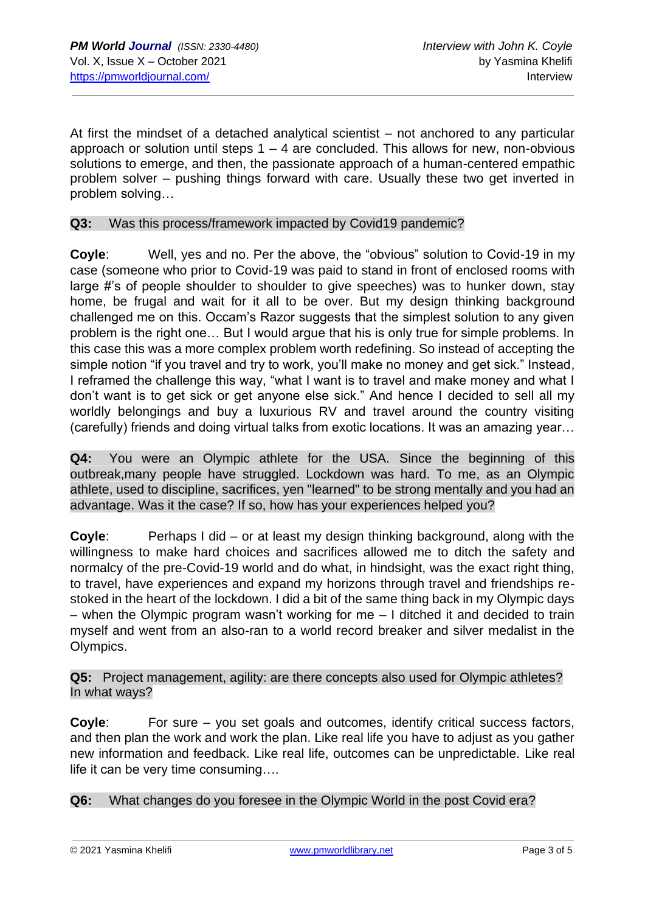At first the mindset of a detached analytical scientist – not anchored to any particular approach or solution until steps  $1 - 4$  are concluded. This allows for new, non-obvious solutions to emerge, and then, the passionate approach of a human-centered empathic problem solver – pushing things forward with care. Usually these two get inverted in problem solving…

#### **Q3:** Was this process/framework impacted by Covid19 pandemic?

**Coyle**: Well, yes and no. Per the above, the "obvious" solution to Covid-19 in my case (someone who prior to Covid-19 was paid to stand in front of enclosed rooms with large #'s of people shoulder to shoulder to give speeches) was to hunker down, stay home, be frugal and wait for it all to be over. But my design thinking background challenged me on this. Occam's Razor suggests that the simplest solution to any given problem is the right one… But I would argue that his is only true for simple problems. In this case this was a more complex problem worth redefining. So instead of accepting the simple notion "if you travel and try to work, you'll make no money and get sick." Instead, I reframed the challenge this way, "what I want is to travel and make money and what I don't want is to get sick or get anyone else sick." And hence I decided to sell all my worldly belongings and buy a luxurious RV and travel around the country visiting (carefully) friends and doing virtual talks from exotic locations. It was an amazing year…

**Q4:** You were an Olympic athlete for the USA. Since the beginning of this outbreak,many people have struggled. Lockdown was hard. To me, as an Olympic athlete, used to discipline, sacrifices, yen "learned" to be strong mentally and you had an advantage. Was it the case? If so, how has your experiences helped you?

**Coyle**: Perhaps I did – or at least my design thinking background, along with the willingness to make hard choices and sacrifices allowed me to ditch the safety and normalcy of the pre-Covid-19 world and do what, in hindsight, was the exact right thing, to travel, have experiences and expand my horizons through travel and friendships restoked in the heart of the lockdown. I did a bit of the same thing back in my Olympic days – when the Olympic program wasn't working for me – I ditched it and decided to train myself and went from an also-ran to a world record breaker and silver medalist in the Olympics.

**Q5:** Project management, agility: are there concepts also used for Olympic athletes? In what ways?

**Coyle**: For sure – you set goals and outcomes, identify critical success factors, and then plan the work and work the plan. Like real life you have to adjust as you gather new information and feedback. Like real life, outcomes can be unpredictable. Like real life it can be very time consuming….

**Q6:** What changes do you foresee in the Olympic World in the post Covid era?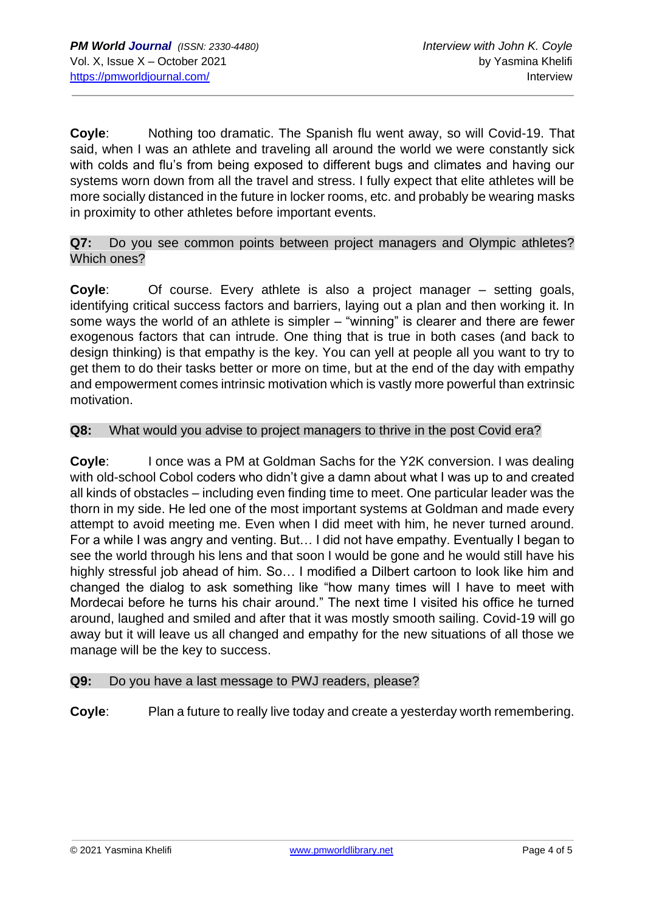**Coyle**: Nothing too dramatic. The Spanish flu went away, so will Covid-19. That said, when I was an athlete and traveling all around the world we were constantly sick with colds and flu's from being exposed to different bugs and climates and having our systems worn down from all the travel and stress. I fully expect that elite athletes will be more socially distanced in the future in locker rooms, etc. and probably be wearing masks in proximity to other athletes before important events.

**Q7:** Do you see common points between project managers and Olympic athletes? Which ones?

**Coyle**: Of course. Every athlete is also a project manager – setting goals, identifying critical success factors and barriers, laying out a plan and then working it. In some ways the world of an athlete is simpler – "winning" is clearer and there are fewer exogenous factors that can intrude. One thing that is true in both cases (and back to design thinking) is that empathy is the key. You can yell at people all you want to try to get them to do their tasks better or more on time, but at the end of the day with empathy and empowerment comes intrinsic motivation which is vastly more powerful than extrinsic motivation.

### **Q8:** What would you advise to project managers to thrive in the post Covid era?

**Coyle**: I once was a PM at Goldman Sachs for the Y2K conversion. I was dealing with old-school Cobol coders who didn't give a damn about what I was up to and created all kinds of obstacles – including even finding time to meet. One particular leader was the thorn in my side. He led one of the most important systems at Goldman and made every attempt to avoid meeting me. Even when I did meet with him, he never turned around. For a while I was angry and venting. But… I did not have empathy. Eventually I began to see the world through his lens and that soon I would be gone and he would still have his highly stressful job ahead of him. So… I modified a Dilbert cartoon to look like him and changed the dialog to ask something like "how many times will I have to meet with Mordecai before he turns his chair around." The next time I visited his office he turned around, laughed and smiled and after that it was mostly smooth sailing. Covid-19 will go away but it will leave us all changed and empathy for the new situations of all those we manage will be the key to success.

#### **Q9:** Do you have a last message to PWJ readers, please?

**Coyle**: Plan a future to really live today and create a yesterday worth remembering.